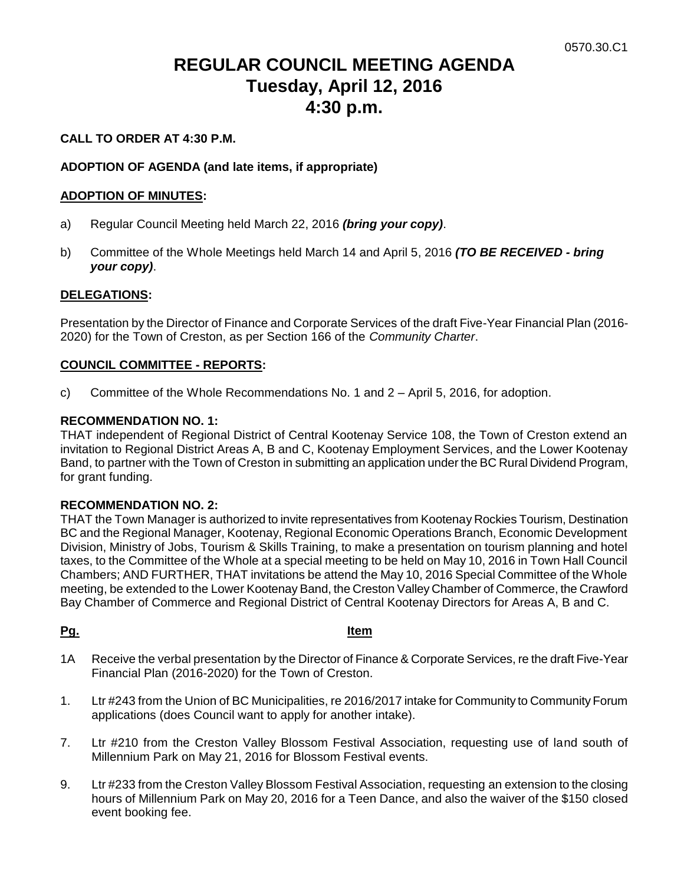# **REGULAR COUNCIL MEETING AGENDA Tuesday, April 12, 2016 4:30 p.m.**

# **CALL TO ORDER AT 4:30 P.M.**

# **ADOPTION OF AGENDA (and late items, if appropriate)**

# **ADOPTION OF MINUTES:**

- a) Regular Council Meeting held March 22, 2016 *(bring your copy)*.
- b) Committee of the Whole Meetings held March 14 and April 5, 2016 *(TO BE RECEIVED - bring your copy)*.

### **DELEGATIONS:**

Presentation by the Director of Finance and Corporate Services of the draft Five-Year Financial Plan (2016- 2020) for the Town of Creston, as per Section 166 of the *Community Charter*.

### **COUNCIL COMMITTEE - REPORTS:**

c) Committee of the Whole Recommendations No. 1 and 2 – April 5, 2016, for adoption.

### **RECOMMENDATION NO. 1:**

THAT independent of Regional District of Central Kootenay Service 108, the Town of Creston extend an invitation to Regional District Areas A, B and C, Kootenay Employment Services, and the Lower Kootenay Band, to partner with the Town of Creston in submitting an application under the BC Rural Dividend Program, for grant funding.

### **RECOMMENDATION NO. 2:**

THAT the Town Manager is authorized to invite representatives from Kootenay Rockies Tourism, Destination BC and the Regional Manager, Kootenay, Regional Economic Operations Branch, Economic Development Division, Ministry of Jobs, Tourism & Skills Training, to make a presentation on tourism planning and hotel taxes, to the Committee of the Whole at a special meeting to be held on May 10, 2016 in Town Hall Council Chambers; AND FURTHER, THAT invitations be attend the May 10, 2016 Special Committee of the Whole meeting, be extended to the Lower Kootenay Band, the Creston Valley Chamber of Commerce, the Crawford Bay Chamber of Commerce and Regional District of Central Kootenay Directors for Areas A, B and C.

### **Pg. Item**

- 1A Receive the verbal presentation by the Director of Finance & Corporate Services, re the draft Five-Year Financial Plan (2016-2020) for the Town of Creston.
- 1. Ltr #243 from the Union of BC Municipalities, re 2016/2017 intake for Community to Community Forum applications (does Council want to apply for another intake).
- 7. Ltr #210 from the Creston Valley Blossom Festival Association, requesting use of land south of Millennium Park on May 21, 2016 for Blossom Festival events.
- 9. Ltr #233 from the Creston Valley Blossom Festival Association, requesting an extension to the closing hours of Millennium Park on May 20, 2016 for a Teen Dance, and also the waiver of the \$150 closed event booking fee.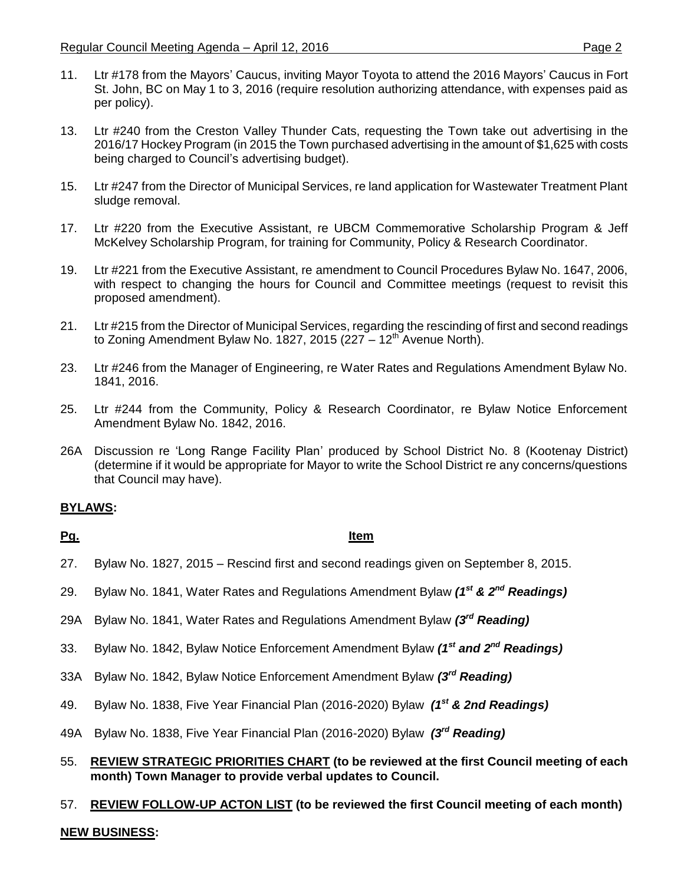- 11. Ltr #178 from the Mayors' Caucus, inviting Mayor Toyota to attend the 2016 Mayors' Caucus in Fort St. John, BC on May 1 to 3, 2016 (require resolution authorizing attendance, with expenses paid as per policy).
- 13. Ltr #240 from the Creston Valley Thunder Cats, requesting the Town take out advertising in the 2016/17 Hockey Program (in 2015 the Town purchased advertising in the amount of \$1,625 with costs being charged to Council's advertising budget).
- 15. Ltr #247 from the Director of Municipal Services, re land application for Wastewater Treatment Plant sludge removal.
- 17. Ltr #220 from the Executive Assistant, re UBCM Commemorative Scholarship Program & Jeff McKelvey Scholarship Program, for training for Community, Policy & Research Coordinator.
- 19. Ltr #221 from the Executive Assistant, re amendment to Council Procedures Bylaw No. 1647, 2006, with respect to changing the hours for Council and Committee meetings (request to revisit this proposed amendment).
- 21. Ltr #215 from the Director of Municipal Services, regarding the rescinding of first and second readings to Zoning Amendment Bylaw No. 1827, 2015 (227  $-12^{th}$  Avenue North).
- 23. Ltr #246 from the Manager of Engineering, re Water Rates and Regulations Amendment Bylaw No. 1841, 2016.
- 25. Ltr #244 from the Community, Policy & Research Coordinator, re Bylaw Notice Enforcement Amendment Bylaw No. 1842, 2016.
- 26A Discussion re 'Long Range Facility Plan' produced by School District No. 8 (Kootenay District) (determine if it would be appropriate for Mayor to write the School District re any concerns/questions that Council may have).

# **BYLAWS:**

# **Pg. Item**

- 27. Bylaw No. 1827, 2015 Rescind first and second readings given on September 8, 2015.
- 29. Bylaw No. 1841, Water Rates and Regulations Amendment Bylaw *(1st & 2nd Readings)*
- 29A Bylaw No. 1841, Water Rates and Regulations Amendment Bylaw *(3rd Reading)*
- 33. Bylaw No. 1842, Bylaw Notice Enforcement Amendment Bylaw *(1st and 2nd Readings)*
- 33A Bylaw No. 1842, Bylaw Notice Enforcement Amendment Bylaw *(3rd Reading)*
- 49. Bylaw No. 1838, Five Year Financial Plan (2016-2020) Bylaw *(1 st & 2nd Readings)*
- 49A Bylaw No. 1838, Five Year Financial Plan (2016-2020) Bylaw *(3 rd Reading)*
- 55. **REVIEW STRATEGIC PRIORITIES CHART (to be reviewed at the first Council meeting of each month) Town Manager to provide verbal updates to Council.**

# 57. **REVIEW FOLLOW-UP ACTON LIST (to be reviewed the first Council meeting of each month)**

# **NEW BUSINESS:**